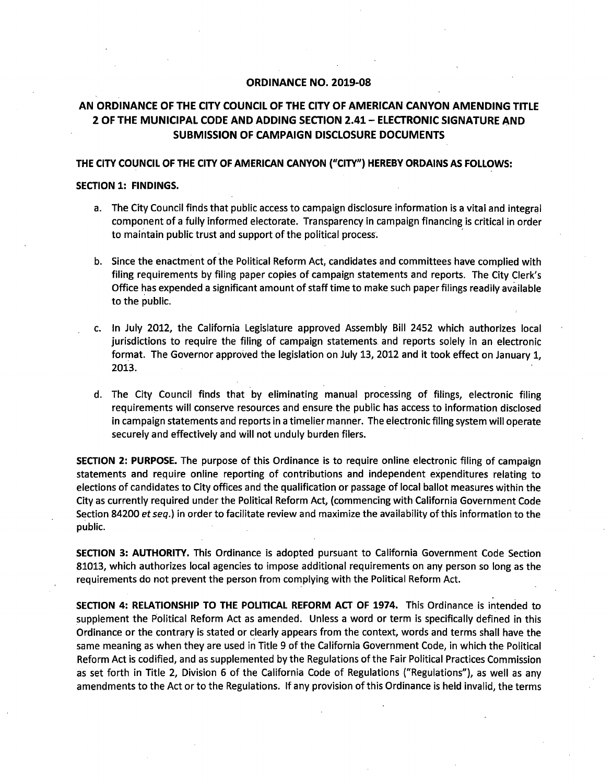# **ORDINANCE NO. 2019-08**

# AN ORDINANCE OF THE CITY COUNCIL OF THE CITY OF AMERICAN CANYON AMENDING TITLE 2 OF THE MUNICIPAL CODE AND ADDING SECTION 2. 41— ELECTRONIC SIGNATURE AND SUBMISSION OF CAMPAIGN DISCLOSURE DOCUMENTS

## THE CITY COUNCIL OF THE CITY OF AMERICAN CANYON ("CITY") HEREBY ORDAINS AS FOLLOWS:

## SECTION 1: FINDINGS.

- a. The City Council finds that public access to campaign disclosure information is <sup>a</sup> vital and integral component of <sup>a</sup> fully informed electorate. Transparency in campaign financing is critical in order to maintain public trust and support of the political process:
- b. Since the enactment of the Political Reform Act, candidates and committees have complied with filing requirements by filing paper copies of campaign statements and reports. The City Clerk's Office has expended <sup>a</sup> significant amount of staff time to make such paper filings readily available to the public.
- c. In July 2012, the California Legislature approved Assembly Bill 2452 which authorizes local jurisdictions to require the filing of campaign statements and reports solely in an electronic format. The Governor approved the legislation on July 13, 2012 and it took effect on January 1, 2013.
- d. The City Council finds that by eliminating manual processing of filings, electronic filing requirements will conserve resources and ensure the public has access to information disclosed in campaign statements and reports in <sup>a</sup> timelier manner. The electronic filing system will operate securely and effectively and will not unduly burden filers.

SECTION 2: PURPOSE. The purpose of this Ordinance is to require online electronic filing of campaign statements and require online reporting of contributions and independent expenditures relating to elections of candidates to City offices and the qualification or passage of local ballot measures within the City as currently required under the Political Reform Act, (commencing with California Government Code Section 84200 et seq.) in order to facilitate review and maximize the availability of this information to the public.

SECTION 3: AUTHORITY. This Ordinance is adopted pursuant to California Government Code Section 81013, which authorizes local agencies to impose additional requirements on any person so long as the requirements do not prevent the person from complying with the Political Reform Act.

SECTION 4: RELATIONSHIP TO THE POLITICAL REFORM ACT OF 1974. This Ordinance is intended to supplement the Political Reform Act as amended. Unless <sup>a</sup> word or term is specifically defined in this Ordinance or the contrary is stated or clearly appears from the context, words and terms shall have the same meaning as when they are used in Title 9 of the California Government Code, in which the Political Reform Act is codified, and as supplemented by the Regulations of the Fair Political Practices Commission as set forth in Title 2, Division <sup>6</sup> of the California Code of Regulations (" Regulations"), as well as any amendments to the Act or to the Regulations. If any provision of this Ordinance is held invalid, the terms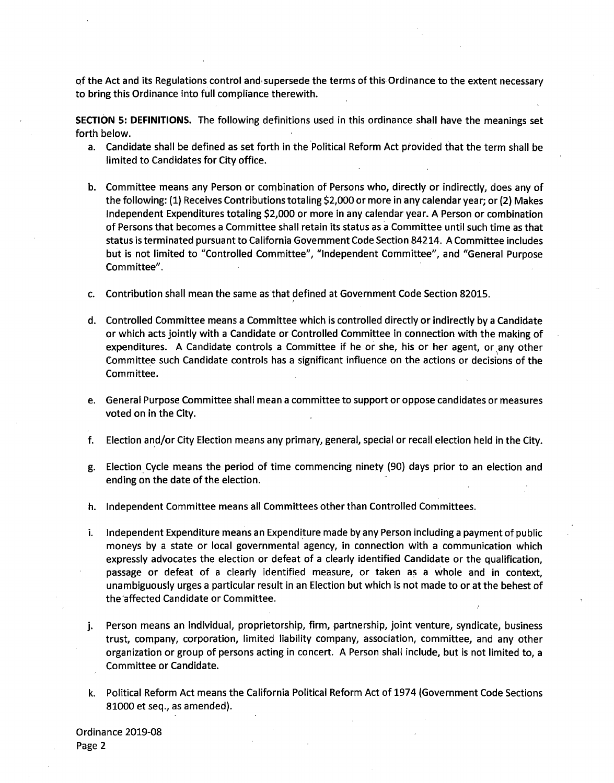of the Act and its Regulations control and supersede the terms of this Ordinance to the extent necessary to bring this Ordinance into full compliance therewith.

SECTION 5: DEFINITIONS. The following definitions used in this ordinance shall have the meanings set forth below.

- a. Candidate shall be defined as set forth in the Political Reform Act provided that the term shall be limited to Candidates for City office.
- b. Committee means any Person or combination of Persons who, directly or indirectly, does any of the following:( 1) Receives Contributions totaling\$ 2, 000 or more in any calendar year; or( 2) Makes Independent Expenditures totaling\$ 2, 000 or more in any calendar year. A Person or combination of Persons that becomes <sup>a</sup> Committee shall retain its status as <sup>a</sup> Committee until such time as that status is terminated pursuant to California Government Code Section 84214. A Committee includes but is not limited to "Controlled Committee", "Independent Committee", and "General Purpose Committee".
- c. Contribution shall mean the same as that defined at Government Code Section 82015.
- d. Controlled Committee means <sup>a</sup> Committee which is controlled directly or indirectly by <sup>a</sup> Candidate or which acts jointly with <sup>a</sup> Candidate or Controlled Committee in connection with the making of expenditures. <sup>A</sup> Candidate controls <sup>a</sup> Committee if he or she, his or her agent, or any other Committee such Candidate controls has <sup>a</sup> significant influence on the actions or decisions of the Committee.
- e. General Purpose Committee shall mean a committee to support or oppose candidates or measures voted on in the City.
- f. Election and/or City Election means any primary, general, special or recall election held in the City.
- g. Election Cycle means the period of time commencing ninety ( 90) days prior to an election and ending on the date of the election.
- h. Independent Committee means all Committees other than Controlled Committees.
- i. Independent Expenditure means an Expenditure made by any Person including <sup>a</sup> payment of public moneys by <sup>a</sup> state or local governmental agency, in connection with a communication which expressly advocates the election or defeat of <sup>a</sup> clearly identified Candidate or the qualification, passage or defeat of <sup>a</sup> clearly identified measure, or taken as <sup>a</sup> whole and in context, unambiguously urges a particular result in an Election but which is not made to or at the behest of the affected Candidate or Committee.
- j. Person means an individual, proprietorship, firm, partnership, joint venture, syndicate, business trust, company, corporation, limited liability company, association, committee, and any other organization or group of persons acting in concert. A Person shall include, but is not limited to, a Committee or Candidate.
- k. Political Reform Act means the California Political Reform Act of 1974( Government Code Sections 81000 et seq., as amended).

Ordinance 2019-08 Page 2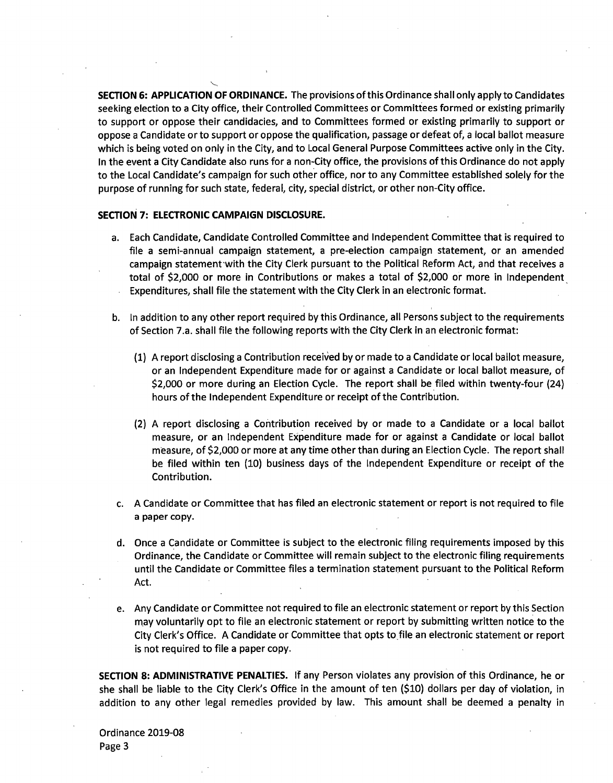SECTION 6: APPLICATION OF ORDINANCE. The provisions of this Ordinance shall only apply to Candidates seeking election to <sup>a</sup> City office, their Controlled Committees or Committees formed or existing primarily to support or oppose their candidacies, and to Committees formed or existing primarily to support or oppose <sup>a</sup> Candidate or to support or oppose the qualification, passage or defeat of, <sup>a</sup> local ballot measure which is being voted on only in the City, and to Local General Purpose Committees active only in the City. In the event <sup>a</sup> City Candidate also runs for a non- City office, the provisions of this Ordinance do not apply to the Local Candidate's campaign for such other office, nor to any Committee established solely for the purpose of running for such state, federal, city, special district, or other non-City office.

## SECTION 7: ELECTRONIC CAMPAIGN DISCLOSURE.

 $\checkmark$ 

- a. Each Candidate, Candidate Controlled Committee and Independent Committee that is required to file a semi-annual campaign statement, a pre-election campaign statement, or an amended campaign statement• with the City Clerk pursuant to the Political Reform Act, and that receives <sup>a</sup> total of \$2,000 or more in Contributions or makes a total of \$2,000 or more in Independent Expenditures, shall file the statement with the City Clerk in an electronic format.
- b. In addition to any other report required by this Ordinance, all Persons subject to the requirements of Section 7. a. shall file the following reports with the City Clerk in an electronic format:
	- 1) A report disclosing <sup>a</sup> Contribution received by or made to <sup>a</sup> Candidate or local ballot measure, or an Independent Expenditure made for or against a Candidate or local ballot measure, of 2, <sup>000</sup> or more during an Election Cycle. The report shall be filed within twenty-four (24) hours of the Independent Expenditure or receipt of the Contribution.
	- 2) A report disclosing <sup>a</sup> Contribution received by or made to <sup>a</sup> Candidate or <sup>a</sup> local ballot measure, or an Independent Expenditure made for or against <sup>a</sup> Candidate or local ballot measure, of \$2,000 or more at any time other than during an Election Cycle. The report shall be filed within ten ( 10) business days of the Independent Expenditure or receipt of the Contribution.
- c. A Candidate or Committee that has filed an electronic statement or report is not required to file a paper copy.
- d. Once a Candidate or Committee is subject to the electronic filing requirements imposed by this Ordinance, the Candidate or Committee will remain subject to the electronic filing requirements until the Candidate or Committee files <sup>a</sup> termination statement pursuant to the Political Reform Act.
- e. Any Candidate or Committee not required to file an electronic statement or report by this Section may voluntarily opt to file an electronic statement or report by submitting written notice to the City Clerk's Office. A Candidate or Committee that opts to file an electronic statement or report is not required to file <sup>a</sup> paper copy.

SECTION 8: ADMINISTRATIVE PENALTIES. If any Person violates any provision of this Ordinance, he or she shall be liable to the City Clerk's Office in the amount of ten (\$10) dollars per day of violation, in addition to any other legal remedies provided by law. This amount shall be deemed <sup>a</sup> penalty in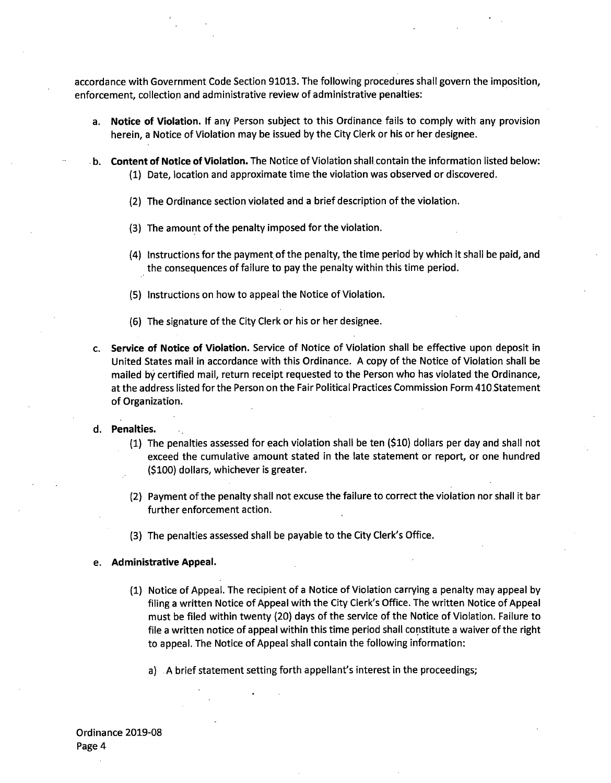accordance with Government Code Section 91013. The following procedures shall govern the imposition, enforcement, collection and administrative review of administrative penalties:

- a. Notice of Violation. If any Person subject to this Ordinance fails to comply with any provision herein, a Notice of Violation may be issued by the City Clerk or his or her designee.
- b. Content of Notice of Violation. The Notice of Violation shall contain the information listed below: 1) Date, location and approximate time the violation was observed or discovered.
	- 2) The Ordinance section violated and <sup>a</sup> brief description of the violation.
	- 3) The amount of the penalty imposed for the violation.
	- (4) Instructions for the payment of the penalty, the time period by which it shall be paid, and the consequences of failure to pay the penalty within this time period.
	- 5) Instructions on how to appeal the Notice of Violation.
	- 6) The signature of the City Clerk or his or her designee.
- c. Service of Notice of Violation. Service of Notice of Violation shall be effective upon deposit in United States mail in accordance with this Ordinance. A copy of the Notice of Violation shall be mailed by certified mail, return receipt requested to the Person who has violated the Ordinance, at the address listed for the Person on the Fair Political Practices Commission Form 410.Statement of Organization.

#### d. Penalties.

- $(1)$  The penalties assessed for each violation shall be ten  $(510)$  dollars per day and shall not exceed the cumulative amount stated in the late statement or report, or one hundred (\$100) dollars, whichever is greater.
- 2) Payment of the penalty shall not excuse the failure to correct the violation nor shall it bar further enforcement action.
- (3) The penalties assessed shall be payable to the City Clerk's Office.

#### e. Administrative Appeal.

- 1) Notice of Appeal. The recipient of <sup>a</sup> Notice of Violation carrying <sup>a</sup> penalty may appeal by filing a written Notice of Appeal with the City Clerk's Office. The written Notice of Appeal must be filed within twenty (20) days of the service of the Notice of Violation. Failure to file <sup>a</sup> written notice of appeal within this time period shall constitute <sup>a</sup> waiver of the right to appeal. The Notice of Appeal shall contain the following information:
	- a) A brief statement setting forth appellant's interest in the proceedings;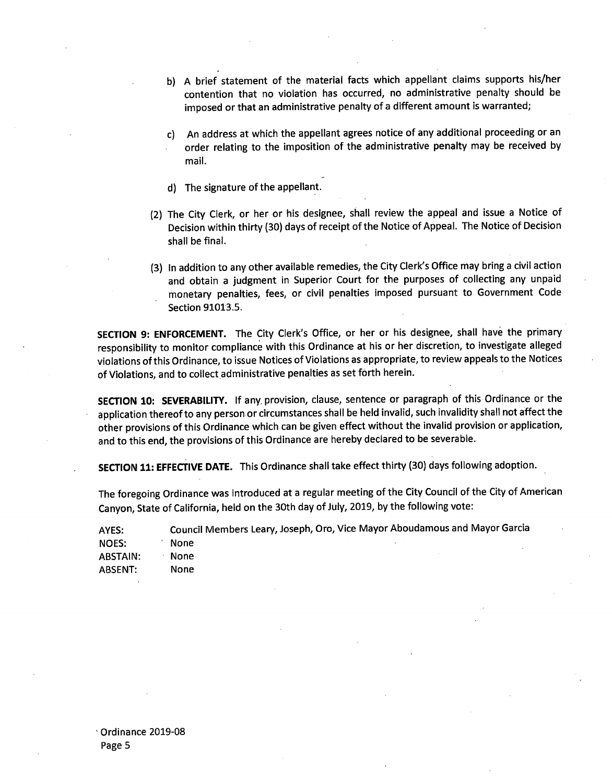- b) A brief statement of the material facts which appellant claims supports his/her contention that no violation has occurred, no administrative penalty should be imposed or that an administrative penalty of <sup>a</sup> different amount is warranted;
- c) An address at which the appellant agrees notice of any additional proceeding or an order relating to the imposition of the administrative penalty may be received by mail.
- d) The signature of the appellant.
- 2) The City Clerk, or her or his designee, shall review the appeal and issue <sup>a</sup> Notice of Decision within thirty( 30) days of receipt of the Notice of Appeal. The Notice of Decision shall be final.
- (3) In addition to any other available remedies, the City Clerk's Office may bring a civil action and obtain <sup>a</sup> judgment in Superior Court for the purposes of collecting any unpaid monetary penalties, fees, or civil penalties imposed pursuant to Government Code Section 91013.5.

SECTION 9: ENFORCEMENT. The City Clerk's Office, or her or his designee, shall have the primary responsibility to monitor compliance with this Ordinance at his or her discretion, to investigate alleged violations ofthis Ordinance, to issue Notices of Violations as appropriate, to review appeals to the Notices of Violations, and to collect administrative penalties as set forth herein.

SECTION 10: SEVERABILITY. If any, provision, clause, sentence or paragraph of this Ordinance or the application thereof to any person or circumstances shall be held invalid, such invalidity shall not affect the other provisions of this Ordinance which can be given effect without the invalid provision or application, and to this end, the provisions of this Ordinance are hereby declared to be severable.

SECTION 11: EFFECTIVE DATE. This Ordinance shall take effect thirty (30) days following adoption.

The foregoing Ordinance was introduced at <sup>a</sup> regular meeting of the City Council of the City of American Canyon, State of California, held on the 30th day of July, 2019, by the following vote:

AYES: Council Members Leary, Joseph, Oro, Vice Mayor Aboudamous and Mayor Garcia NOES: None ABSTAIN: None

ABSENT: None